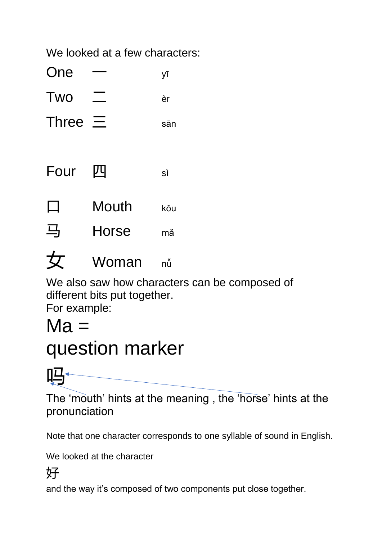We looked at a few characters:

| One | ۷Ī |
|-----|----|
| Two | èr |

- 
- Three  $\equiv$  sān
- Four 四 sì
- $\Box$  Mouth  $_{k\text{\o}u}$
- 马 Horse mǎ



We also saw how characters can be composed of different bits put together.

For example:

## $Ma =$

# question marker



The 'mouth' hints at the meaning , the 'horse' hints at the pronunciation

Note that one character corresponds to one syllable of sound in English.

We looked at the character

#### 好

and the way it's composed of two components put close together.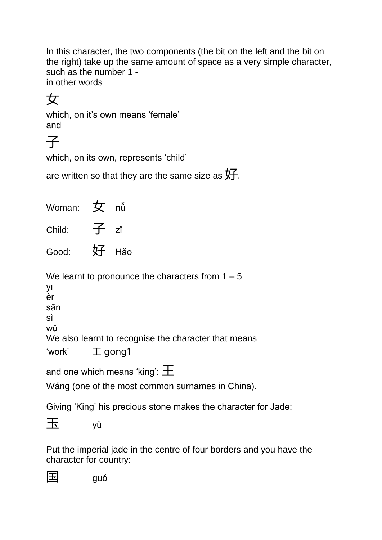In this character, the two components (the bit on the left and the bit on the right) take up the same amount of space as a very simple character, such as the number 1 in other words

### 女

which, on it's own means 'female' and

子

which, on its own, represents 'child'

are written so that they are the same size as  $\sqrt[4]{5}$ .

| Woman: $\overline{\mathbf{y}}$ nu                  |                                                                                                            |
|----------------------------------------------------|------------------------------------------------------------------------------------------------------------|
| Child: $\overline{f}$ zǐ                           |                                                                                                            |
| Good: 好 Hǎo                                        |                                                                                                            |
| уī<br>èr<br>sān<br>sì<br>wǔ<br>'work' $\Box$ gong1 | We learnt to pronounce the characters from $1 - 5$<br>We also learnt to recognise the character that means |
|                                                    | and one which means 'king': $\pm$<br>Wáng (one of the most common surnames in China).                      |
|                                                    | Obstanti (175 m) bizante e internacional de la decedera de la femilia del                                  |

Giving 'King' his precious stone makes the character for Jade:

玉 yù

国 guó

Put the imperial jade in the centre of four borders and you have the character for country:

|--|